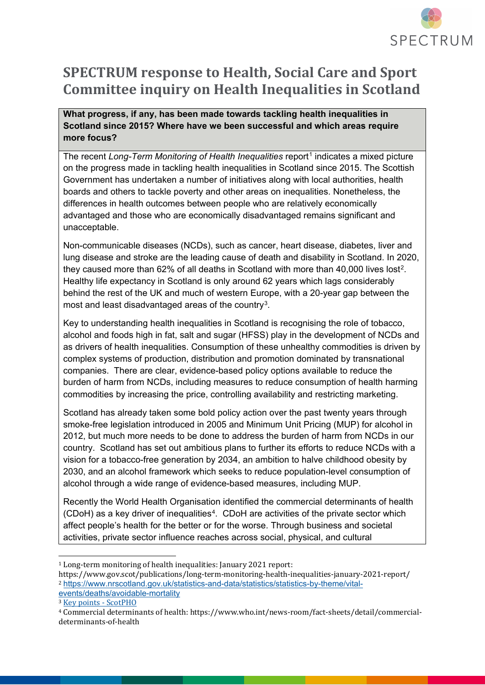

# **SPECTRUM response to Health, Social Care and Sport Committee inquiry on Health Inequalities in Scotland**

**What progress, if any, has been made towards tackling health inequalities in Scotland since 2015? Where have we been successful and which areas require more focus?**

The recent *Long-Term Monitoring of Health Inequalities* report<sup>[1](#page-0-0)</sup> indicates a mixed picture on the progress made in tackling health inequalities in Scotland since 2015. The Scottish Government has undertaken a number of initiatives along with local authorities, health boards and others to tackle poverty and other areas on inequalities. Nonetheless, the differences in health outcomes between people who are relatively economically advantaged and those who are economically disadvantaged remains significant and unacceptable.

Non-communicable diseases (NCDs), such as cancer, heart disease, diabetes, liver and lung disease and stroke are the leading cause of death and disability in Scotland. In 2020, they caused more than 62% of all deaths in Scotland with more than 40,000 lives lost[2.](#page-0-1) Healthy life expectancy in Scotland is only around 62 years which lags considerably behind the rest of the UK and much of western Europe, with a 20-year gap between the most and least disadvantaged areas of the country<sup>3</sup>.

Key to understanding health inequalities in Scotland is recognising the role of tobacco, alcohol and foods high in fat, salt and sugar (HFSS) play in the development of NCDs and as drivers of health inequalities. Consumption of these unhealthy commodities is driven by complex systems of production, distribution and promotion dominated by transnational companies. There are clear, evidence-based policy options available to reduce the burden of harm from NCDs, including measures to reduce consumption of health harming commodities by increasing the price, controlling availability and restricting marketing.

Scotland has already taken some bold policy action over the past twenty years through smoke-free legislation introduced in 2005 and Minimum Unit Pricing (MUP) for alcohol in 2012, but much more needs to be done to address the burden of harm from NCDs in our country. Scotland has set out ambitious plans to further its efforts to reduce NCDs with a vision for a tobacco-free generation by 2034, an ambition to halve childhood obesity by 2030, and an alcohol framework which seeks to reduce population-level consumption of alcohol through a wide range of evidence-based measures, including MUP.

Recently the World Health Organisation identified the commercial determinants of health (CDoH) as a key driver of inequalities[4](#page-0-3). CDoH are activities of the private sector which affect people's health for the better or for the worse. Through business and societal activities, private sector influence reaches across social, physical, and cultural

<sup>-</sup><sup>1</sup> Long-term monitoring of health inequalities: January 2021 report:

<span id="page-0-1"></span><span id="page-0-0"></span>https://www.gov.scot/publications/long-term-monitoring-health-inequalities-january-2021-report/ <sup>2</sup> [https://www.nrscotland.gov.uk/statistics-and-data/statistics/statistics-by-theme/vital](https://www.nrscotland.gov.uk/statistics-and-data/statistics/statistics-by-theme/vital-events/deaths/avoidable-mortality)[events/deaths/avoidable-mortality](https://www.nrscotland.gov.uk/statistics-and-data/statistics/statistics-by-theme/vital-events/deaths/avoidable-mortality)

<span id="page-0-2"></span><sup>3</sup> [Key points - ScotPHO](https://www.scotpho.org.uk/population-dynamics/healthy-life-expectancy/key-points/#:%7E:text=Healthy%20life%20expectancy%3A%20key%20points%201%20LE%20is,in%20Scotland%20since%201980.%20...%20More%20items...%20)

<span id="page-0-3"></span><sup>4</sup> Commercial determinants of health: https://www.who.int/news-room/fact-sheets/detail/commercialdeterminants-of-health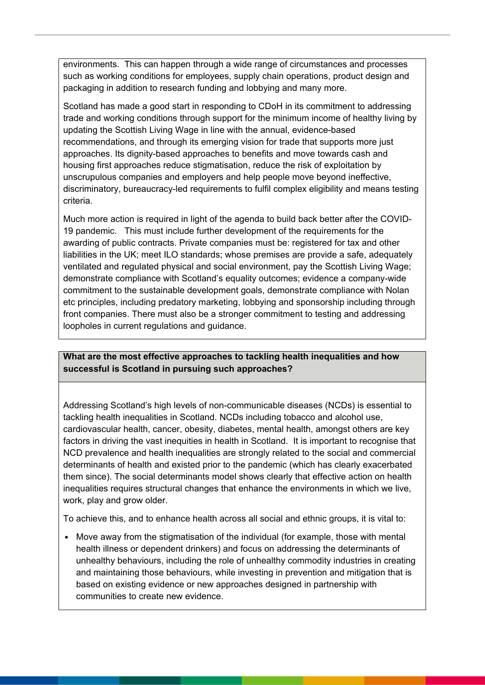environments. This can happen through a wide range of circumstances and processes such as working conditions for employees, supply chain operations, product design and packaging in addition to research funding and lobbying and many more.

Scotland has made a good start in responding to CDoH in its commitment to addressing trade and working conditions through support for the minimum income of healthy living by updating the Scottish Living Wage in line with the annual, evidence-based recommendations, and through its emerging vision for trade that supports more just approaches. Its dignity-based approaches to benefits and move towards cash and housing first approaches reduce stigmatisation, reduce the risk of exploitation by unscrupulous companies and employers and help people move beyond ineffective, discriminatory, bureaucracy-led requirements to fulfil complex eligibility and means testing criteria.

Much more action is required in light of the agenda to build back better after the COVID-19 pandemic. This must include further development of the requirements for the awarding of public contracts. Private companies must be: registered for tax and other liabilities in the UK; meet ILO standards; whose premises are provide a safe, adequately ventilated and regulated physical and social environment, pay the Scottish Living Wage; demonstrate compliance with Scotland's equality outcomes; evidence a company-wide commitment to the sustainable development goals, demonstrate compliance with Nolan etc principles, including predatory marketing, lobbying and sponsorship including through front companies. There must also be a stronger commitment to testing and addressing loopholes in current regulations and guidance.

## **What are the most effective approaches to tackling health inequalities and how successful is Scotland in pursuing such approaches?**

Addressing Scotland's high levels of non-communicable diseases (NCDs) is essential to tackling health inequalities in Scotland. NCDs including tobacco and alcohol use, cardiovascular health, cancer, obesity, diabetes, mental health, amongst others are key factors in driving the vast inequities in health in Scotland. It is important to recognise that NCD prevalence and health inequalities are strongly related to the social and commercial determinants of health and existed prior to the pandemic (which has clearly exacerbated them since). The social determinants model shows clearly that effective action on health inequalities requires structural changes that enhance the environments in which we live, work, play and grow older.

To achieve this, and to enhance health across all social and ethnic groups, it is vital to:

• Move away from the stigmatisation of the individual (for example, those with mental health illness or dependent drinkers) and focus on addressing the determinants of unhealthy behaviours, including the role of unhealthy commodity industries in creating and maintaining those behaviours, while investing in prevention and mitigation that is based on existing evidence or new approaches designed in partnership with communities to create new evidence.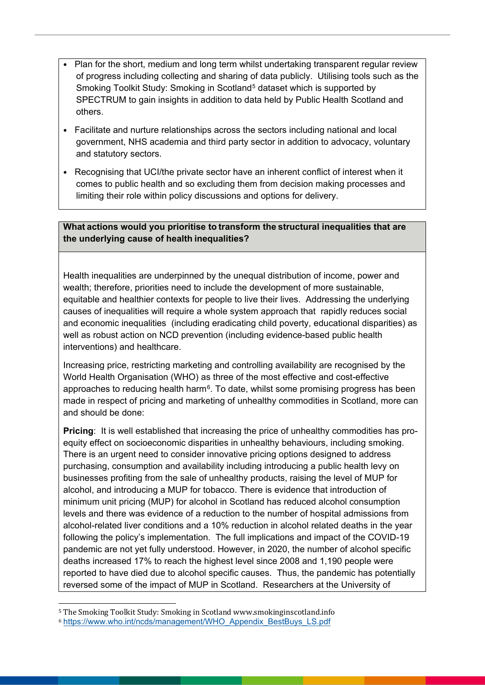- Plan for the short, medium and long term whilst undertaking transparent regular review of progress including collecting and sharing of data publicly. Utilising tools such as the Smoking Toolkit Study: Smoking in Scotland<sup>[5](#page-2-0)</sup> dataset which is supported by SPECTRUM to gain insights in addition to data held by Public Health Scotland and others.
- Facilitate and nurture relationships across the sectors including national and local government, NHS academia and third party sector in addition to advocacy, voluntary and statutory sectors.
- Recognising that UCI/the private sector have an inherent conflict of interest when it comes to public health and so excluding them from decision making processes and limiting their role within policy discussions and options for delivery.

## **What actions would you prioritise to transform the structural inequalities that are the underlying cause of health inequalities?**

Health inequalities are underpinned by the unequal distribution of income, power and wealth; therefore, priorities need to include the development of more sustainable, equitable and healthier contexts for people to live their lives. Addressing the underlying causes of inequalities will require a whole system approach that rapidly reduces social and economic inequalities (including eradicating child poverty, educational disparities) as well as robust action on NCD prevention (including evidence-based public health interventions) and healthcare.

Increasing price, restricting marketing and controlling availability are recognised by the World Health Organisation (WHO) as three of the most effective and cost-effective approaches to reducing health harm<sup> $6$ </sup>. To date, whilst some promising progress has been made in respect of pricing and marketing of unhealthy commodities in Scotland, more can and should be done:

**Pricing**: It is well established that increasing the price of unhealthy commodities has proequity effect on socioeconomic disparities in unhealthy behaviours, including smoking. There is an urgent need to consider innovative pricing options designed to address purchasing, consumption and availability including introducing a public health levy on businesses profiting from the sale of unhealthy products, raising the level of MUP for alcohol, and introducing a MUP for tobacco. There is evidence that introduction of minimum unit pricing (MUP) for alcohol in Scotland has reduced alcohol consumption levels and there was evidence of a reduction to the number of hospital admissions from alcohol-related liver conditions and a 10% reduction in alcohol related deaths in the year following the policy's implementation. The full implications and impact of the COVID-19 pandemic are not yet fully understood. However, in 2020, the number of alcohol specific deaths increased 17% to reach the highest level since 2008 and 1,190 people were reported to have died due to alcohol specific causes. Thus, the pandemic has potentially reversed some of the impact of MUP in Scotland. Researchers at the University of

<span id="page-2-1"></span><span id="page-2-0"></span>j <sup>5</sup> The Smoking Toolkit Study: Smoking in Scotland www.smokinginscotland.info <sup>6</sup> [https://www.who.int/ncds/management/WHO\\_Appendix\\_BestBuys\\_LS.pdf](https://www.who.int/ncds/management/WHO_Appendix_BestBuys_LS.pdf)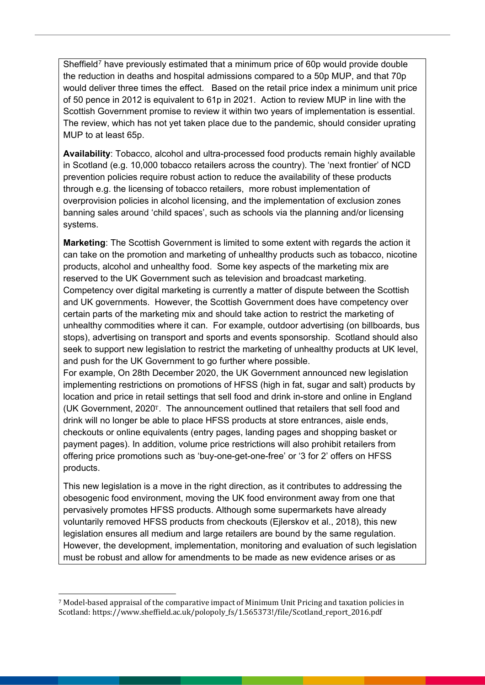Sheffield<sup>[7](#page-3-0)</sup> have previously estimated that a minimum price of 60p would provide double the reduction in deaths and hospital admissions compared to a 50p MUP, and that 70p would deliver three times the effect. Based on the retail price index a minimum unit price of 50 pence in 2012 is equivalent to 61p in 2021. Action to review MUP in line with the Scottish Government promise to review it within two years of implementation is essential. The review, which has not yet taken place due to the pandemic, should consider uprating MUP to at least 65p.

**Availability**: Tobacco, alcohol and ultra-processed food products remain highly available in Scotland (e.g. 10,000 tobacco retailers across the country). The 'next frontier' of NCD prevention policies require robust action to reduce the availability of these products through e.g. the licensing of tobacco retailers, more robust implementation of overprovision policies in alcohol licensing, and the implementation of exclusion zones banning sales around 'child spaces', such as schools via the planning and/or licensing systems.

**Marketing**: The Scottish Government is limited to some extent with regards the action it can take on the promotion and marketing of unhealthy products such as tobacco, nicotine products, alcohol and unhealthy food. Some key aspects of the marketing mix are reserved to the UK Government such as television and broadcast marketing. Competency over digital marketing is currently a matter of dispute between the Scottish and UK governments. However, the Scottish Government does have competency over certain parts of the marketing mix and should take action to restrict the marketing of unhealthy commodities where it can. For example, outdoor advertising (on billboards, bus stops), advertising on transport and sports and events sponsorship. Scotland should also seek to support new legislation to restrict the marketing of unhealthy products at UK level, and push for the UK Government to go further where possible.

For example, On 28th December 2020, the UK Government announced new legislation implementing restrictions on promotions of HFSS (high in fat, sugar and salt) products by location and price in retail settings that sell food and drink in-store and online in England (UK Government, 2020T. The announcement outlined that retailers that sell food and drink will no longer be able to place HFSS products at store entrances, aisle ends, checkouts or online equivalents (entry pages, landing pages and shopping basket or payment pages). In addition, volume price restrictions will also prohibit retailers from offering price promotions such as 'buy-one-get-one-free' or '3 for 2' offers on HFSS products.

This new legislation is a move in the right direction, as it contributes to addressing the obesogenic food environment, moving the UK food environment away from one that pervasively promotes HFSS products. Although some supermarkets have already voluntarily removed HFSS products from checkouts (Ejlerskov et al., 2018), this new legislation ensures all medium and large retailers are bound by the same regulation. However, the development, implementation, monitoring and evaluation of such legislation must be robust and allow for amendments to be made as new evidence arises or as

<span id="page-3-0"></span> <sup>7</sup> Model-based appraisal of the comparative impact of Minimum Unit Pricing and taxation policies in Scotland: https://www.sheffield.ac.uk/polopoly\_fs/1.565373!/file/Scotland\_report\_2016.pdf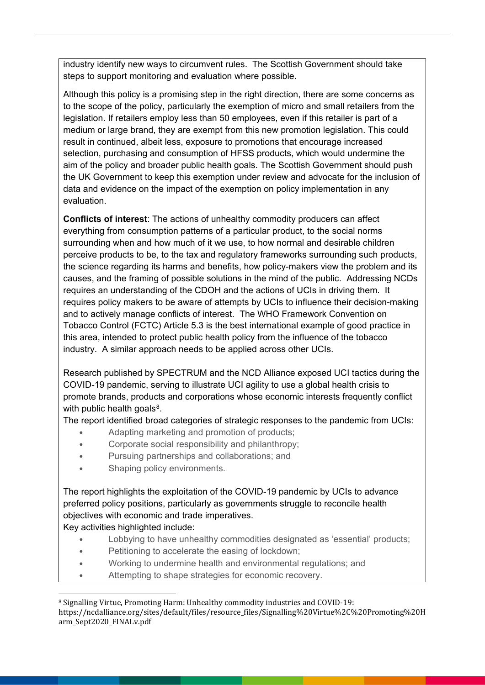industry identify new ways to circumvent rules. The Scottish Government should take steps to support monitoring and evaluation where possible.

Although this policy is a promising step in the right direction, there are some concerns as to the scope of the policy, particularly the exemption of micro and small retailers from the legislation. If retailers employ less than 50 employees, even if this retailer is part of a medium or large brand, they are exempt from this new promotion legislation. This could result in continued, albeit less, exposure to promotions that encourage increased selection, purchasing and consumption of HFSS products, which would undermine the aim of the policy and broader public health goals. The Scottish Government should push the UK Government to keep this exemption under review and advocate for the inclusion of data and evidence on the impact of the exemption on policy implementation in any evaluation.

**Conflicts of interest**: The actions of unhealthy commodity producers can affect everything from consumption patterns of a particular product, to the social norms surrounding when and how much of it we use, to how normal and desirable children perceive products to be, to the tax and regulatory frameworks surrounding such products, the science regarding its harms and benefits, how policy-makers view the problem and its causes, and the framing of possible solutions in the mind of the public. Addressing NCDs requires an understanding of the CDOH and the actions of UCIs in driving them. It requires policy makers to be aware of attempts by UCIs to influence their decision-making and to actively manage conflicts of interest. The WHO Framework Convention on Tobacco Control (FCTC) Article 5.3 is the best international example of good practice in this area, intended to protect public health policy from the influence of the tobacco industry. A similar approach needs to be applied across other UCIs.

Research published by SPECTRUM and the NCD Alliance exposed UCI tactics during the COVID-19 pandemic, serving to illustrate UCI agility to use a global health crisis to promote brands, products and corporations whose economic interests frequently conflict with public health goals $8$ .

The report identified broad categories of strategic responses to the pandemic from UCIs:

- Adapting marketing and promotion of products;
- Corporate social responsibility and philanthropy;
- Pursuing partnerships and collaborations; and
- Shaping policy environments.

The report highlights the exploitation of the COVID-19 pandemic by UCIs to advance preferred policy positions, particularly as governments struggle to reconcile health objectives with economic and trade imperatives.

Key activities highlighted include:

- Lobbying to have unhealthy commodities designated as 'essential' products;
- Petitioning to accelerate the easing of lockdown;
- Working to undermine health and environmental regulations; and
- Attempting to shape strategies for economic recovery.

<span id="page-4-0"></span> <sup>8</sup> Signalling Virtue, Promoting Harm: Unhealthy commodity industries and COVID-19: https://ncdalliance.org/sites/default/files/resource\_files/Signalling%20Virtue%2C%20Promoting%20H arm\_Sept2020\_FINALv.pdf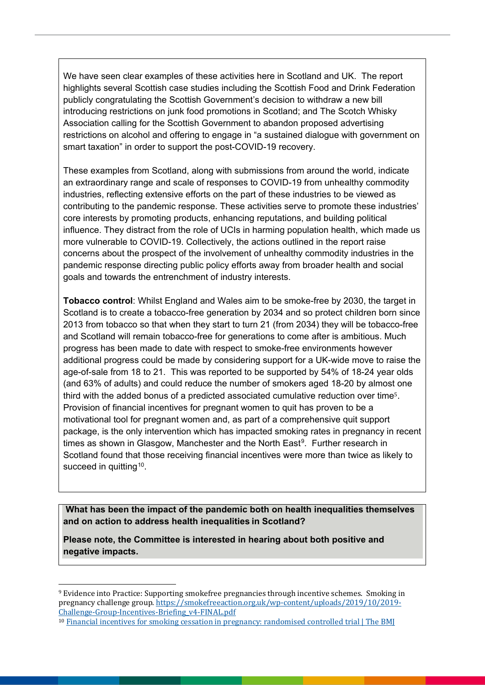We have seen clear examples of these activities here in Scotland and UK. The report highlights several Scottish case studies including the Scottish Food and Drink Federation publicly congratulating the Scottish Government's decision to withdraw a new bill introducing restrictions on junk food promotions in Scotland; and The Scotch Whisky Association calling for the Scottish Government to abandon proposed advertising restrictions on alcohol and offering to engage in "a sustained dialogue with government on smart taxation" in order to support the post-COVID-19 recovery.

These examples from Scotland, along with submissions from around the world, indicate an extraordinary range and scale of responses to COVID-19 from unhealthy commodity industries, reflecting extensive efforts on the part of these industries to be viewed as contributing to the pandemic response. These activities serve to promote these industries' core interests by promoting products, enhancing reputations, and building political influence. They distract from the role of UCIs in harming population health, which made us more vulnerable to COVID-19. Collectively, the actions outlined in the report raise concerns about the prospect of the involvement of unhealthy commodity industries in the pandemic response directing public policy efforts away from broader health and social goals and towards the entrenchment of industry interests.

**Tobacco control**: Whilst England and Wales aim to be smoke-free by 2030, the target in Scotland is to create a tobacco-free generation by 2034 and so protect children born since 2013 from tobacco so that when they start to turn 21 (from 2034) they will be tobacco-free and Scotland will remain tobacco-free for generations to come after is ambitious. Much progress has been made to date with respect to smoke-free environments however additional progress could be made by considering support for a UK-wide move to raise the age-of-sale from 18 to 21. This was reported to be supported by 54% of 18-24 year olds (and 63% of adults) and could reduce the number of smokers aged 18-20 by almost one third with the added bonus of a predicted associated cumulative reduction over time5. Provision of financial incentives for pregnant women to quit has proven to be a motivational tool for pregnant women and, as part of a comprehensive quit support package, is the only intervention which has impacted smoking rates in pregnancy in recent times as shown in Glasgow, Manchester and the North East<sup>9</sup>. Further research in Scotland found that those receiving financial incentives were more than twice as likely to succeed in quitting<sup>[10](#page-5-1)</sup>.

**What has been the impact of the pandemic both on health inequalities themselves and on action to address health inequalities in Scotland?**

**Please note, the Committee is interested in hearing about both positive and negative impacts.**

<span id="page-5-0"></span>j <sup>9</sup> Evidence into Practice: Supporting smokefree pregnancies through incentive schemes. Smoking in pregnancy challenge group[. https://smokefreeaction.org.uk/wp-content/uploads/2019/10/2019-](https://smokefreeaction.org.uk/wp-content/uploads/2019/10/2019-Challenge-Group-Incentives-Briefing_v4-FINAL.pdf) [Challenge-Group-Incentives-Briefing\\_v4-FINAL.pdf](https://smokefreeaction.org.uk/wp-content/uploads/2019/10/2019-Challenge-Group-Incentives-Briefing_v4-FINAL.pdf)

<span id="page-5-1"></span><sup>10</sup> [Financial incentives for smoking cessation in pregnancy: randomised controlled trial | The BMJ](https://www.bmj.com/content/350/bmj.h134)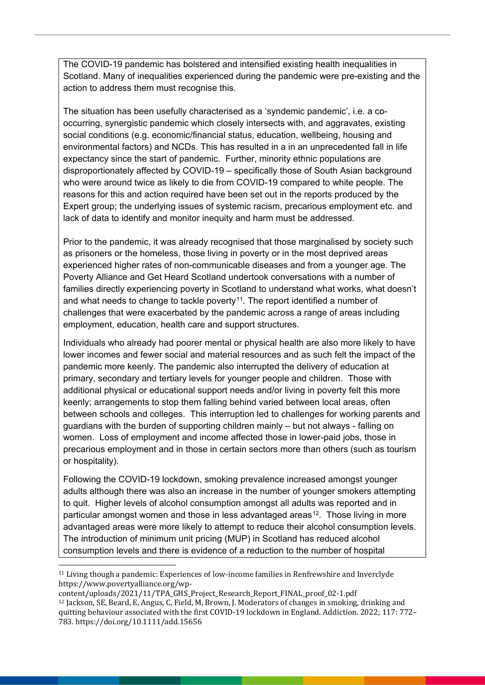The COVID-19 pandemic has bolstered and intensified existing health inequalities in Scotland. Many of inequalities experienced during the pandemic were pre-existing and the action to address them must recognise this.

The situation has been usefully characterised as a 'syndemic pandemic', i.e. a cooccurring, synergistic pandemic which closely intersects with, and aggravates, existing social conditions (e.g. economic/financial status, education, wellbeing, housing and environmental factors) and NCDs. This has resulted in a in an unprecedented fall in life expectancy since the start of pandemic. Further, minority ethnic populations are disproportionately affected by COVID-19 – specifically those of South Asian background who were around twice as likely to die from COVID-19 compared to white people. The reasons for this and action required have been set out in the reports produced by the Expert group; the underlying issues of systemic racism, precarious employment etc. and lack of data to identify and monitor inequity and harm must be addressed.

Prior to the pandemic, it was already recognised that those marginalised by society such as prisoners or the homeless, those living in poverty or in the most deprived areas experienced higher rates of non-communicable diseases and from a younger age. The Poverty Alliance and Get Heard Scotland undertook conversations with a number of families directly experiencing poverty in Scotland to understand what works, what doesn't and what needs to change to tackle poverty<sup>[11](#page-6-0)</sup>. The report identified a number of challenges that were exacerbated by the pandemic across a range of areas including employment, education, health care and support structures.

Individuals who already had poorer mental or physical health are also more likely to have lower incomes and fewer social and material resources and as such felt the impact of the pandemic more keenly. The pandemic also interrupted the delivery of education at primary, secondary and tertiary levels for younger people and children. Those with additional physical or educational support needs and/or living in poverty felt this more keenly; arrangements to stop them falling behind varied between local areas, often between schools and colleges. This interruption led to challenges for working parents and guardians with the burden of supporting children mainly – but not always - falling on women. Loss of employment and income affected those in lower-paid jobs, those in precarious employment and in those in certain sectors more than others (such as tourism or hospitality).

Following the COVID-19 lockdown, smoking prevalence increased amongst younger adults although there was also an increase in the number of younger smokers attempting to quit. Higher levels of alcohol consumption amongst all adults was reported and in particular amongst women and those in less advantaged areas<sup>12</sup>. Those living in more advantaged areas were more likely to attempt to reduce their alcohol consumption levels. The introduction of minimum unit pricing (MUP) in Scotland has reduced alcohol consumption levels and there is evidence of a reduction to the number of hospital

<span id="page-6-1"></span>content/uploads/2021/11/TPA\_GHS\_Project\_Research\_Report\_FINAL\_proof\_02-1.pdf <sup>12</sup> Jackson, SE, Beard, E, Angus, C, Field, M, Brown, J. Moderators of changes in smoking, drinking and quitting behaviour associated with the first COVID-19 lockdown in England. Addiction. 2022; 117: 772– 783. https://doi.org/10.1111/add.15656

<span id="page-6-0"></span><sup>&</sup>lt;sup>11</sup> Living though a pandemic: Experiences of low-income families in Renfrewshire and Inverclyde https://www.povertyalliance.org/wp-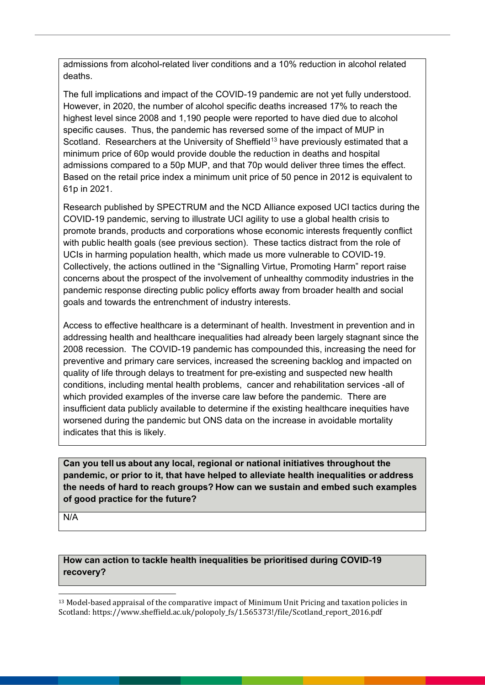admissions from alcohol-related liver conditions and a 10% reduction in alcohol related deaths.

The full implications and impact of the COVID-19 pandemic are not yet fully understood. However, in 2020, the number of alcohol specific deaths increased 17% to reach the highest level since 2008 and 1,190 people were reported to have died due to alcohol specific causes. Thus, the pandemic has reversed some of the impact of MUP in Scotland. Researchers at the University of Sheffield<sup>[13](#page-7-0)</sup> have previously estimated that a minimum price of 60p would provide double the reduction in deaths and hospital admissions compared to a 50p MUP, and that 70p would deliver three times the effect. Based on the retail price index a minimum unit price of 50 pence in 2012 is equivalent to 61p in 2021.

Research published by SPECTRUM and the NCD Alliance exposed UCI tactics during the COVID-19 pandemic, serving to illustrate UCI agility to use a global health crisis to promote brands, products and corporations whose economic interests frequently conflict with public health goals (see previous section). These tactics distract from the role of UCIs in harming population health, which made us more vulnerable to COVID-19. Collectively, the actions outlined in the "Signalling Virtue, Promoting Harm" report raise concerns about the prospect of the involvement of unhealthy commodity industries in the pandemic response directing public policy efforts away from broader health and social goals and towards the entrenchment of industry interests.

Access to effective healthcare is a determinant of health. Investment in prevention and in addressing health and healthcare inequalities had already been largely stagnant since the 2008 recession. The COVID-19 pandemic has compounded this, increasing the need for preventive and primary care services, increased the screening backlog and impacted on quality of life through delays to treatment for pre-existing and suspected new health conditions, including mental health problems, cancer and rehabilitation services -all of which provided examples of the inverse care law before the pandemic. There are insufficient data publicly available to determine if the existing healthcare inequities have worsened during the pandemic but ONS data on the increase in avoidable mortality indicates that this is likely.

## **Can you tell us about any local, regional or national initiatives throughout the pandemic, or prior to it, that have helped to alleviate health inequalities or address the needs of hard to reach groups? How can we sustain and embed such examples of good practice for the future?**

N/A

#### **How can action to tackle health inequalities be prioritised during COVID-19 recovery?**

<span id="page-7-0"></span>j  $^{13}$  Model-based appraisal of the comparative impact of Minimum Unit Pricing and taxation policies in Scotland: https://www.sheffield.ac.uk/polopoly\_fs/1.565373!/file/Scotland\_report\_2016.pdf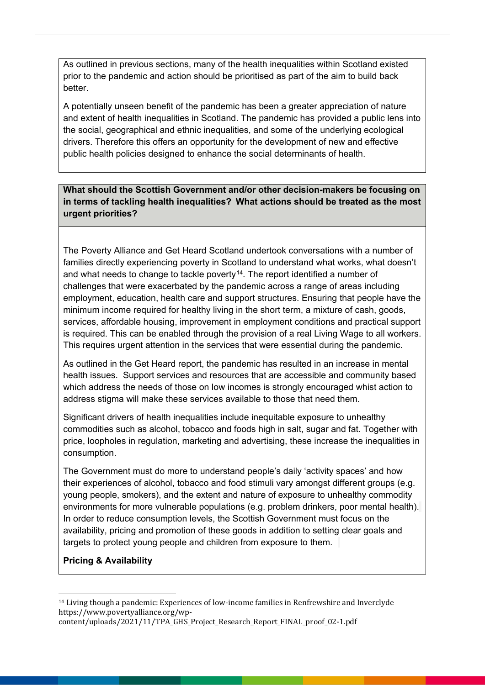As outlined in previous sections, many of the health inequalities within Scotland existed prior to the pandemic and action should be prioritised as part of the aim to build back better.

A potentially unseen benefit of the pandemic has been a greater appreciation of nature and extent of health inequalities in Scotland. The pandemic has provided a public lens into the social, geographical and ethnic inequalities, and some of the underlying ecological drivers. Therefore this offers an opportunity for the development of new and effective public health policies designed to enhance the social determinants of health.

**What should the Scottish Government and/or other decision-makers be focusing on in terms of tackling health inequalities?  What actions should be treated as the most urgent priorities?**

The Poverty Alliance and Get Heard Scotland undertook conversations with a number of families directly experiencing poverty in Scotland to understand what works, what doesn't and what needs to change to tackle poverty<sup>[14](#page-8-0)</sup>. The report identified a number of challenges that were exacerbated by the pandemic across a range of areas including employment, education, health care and support structures. Ensuring that people have the minimum income required for healthy living in the short term, a mixture of cash, goods, services, affordable housing, improvement in employment conditions and practical support is required. This can be enabled through the provision of a real Living Wage to all workers. This requires urgent attention in the services that were essential during the pandemic.

As outlined in the Get Heard report, the pandemic has resulted in an increase in mental health issues. Support services and resources that are accessible and community based which address the needs of those on low incomes is strongly encouraged whist action to address stigma will make these services available to those that need them.

Significant drivers of health inequalities include inequitable exposure to unhealthy commodities such as alcohol, tobacco and foods high in salt, sugar and fat. Together with price, loopholes in regulation, marketing and advertising, these increase the inequalities in consumption.

The Government must do more to understand people's daily 'activity spaces' and how their experiences of alcohol, tobacco and food stimuli vary amongst different groups (e.g. young people, smokers), and the extent and nature of exposure to unhealthy commodity environments for more vulnerable populations (e.g. problem drinkers, poor mental health). In order to reduce consumption levels, the Scottish Government must focus on the availability, pricing and promotion of these goods in addition to setting clear goals and targets to protect young people and children from exposure to them.

#### **Pricing & Availability**

<span id="page-8-0"></span>j <sup>14</sup> Living though a pandemic: Experiences of low-income families in Renfrewshire and Inverclyde https://www.povertyalliance.org/wp-

content/uploads/2021/11/TPA\_GHS\_Project\_Research\_Report\_FINAL\_proof\_02-1.pdf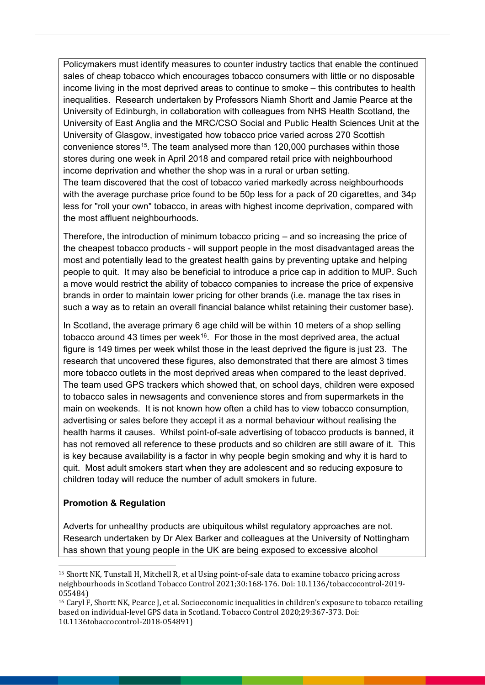Policymakers must identify measures to counter industry tactics that enable the continued sales of cheap tobacco which encourages tobacco consumers with little or no disposable income living in the most deprived areas to continue to smoke – this contributes to health inequalities. Research undertaken by Professors Niamh Shortt and Jamie Pearce at the University of Edinburgh, in collaboration with colleagues from NHS Health Scotland, the University of East Anglia and the MRC/CSO Social and Public Health Sciences Unit at the University of Glasgow, investigated how tobacco price varied across 270 Scottish convenience stores<sup>15</sup>. The team analysed more than 120,000 purchases within those stores during one week in April 2018 and compared retail price with neighbourhood income deprivation and whether the shop was in a rural or urban setting. The team discovered that the cost of tobacco varied markedly across neighbourhoods with the average purchase price found to be 50p less for a pack of 20 cigarettes, and 34p less for "roll your own" tobacco, in areas with highest income deprivation, compared with the most affluent neighbourhoods.

Therefore, the introduction of minimum tobacco pricing – and so increasing the price of the cheapest tobacco products - will support people in the most disadvantaged areas the most and potentially lead to the greatest health gains by preventing uptake and helping people to quit. It may also be beneficial to introduce a price cap in addition to MUP. Such a move would restrict the ability of tobacco companies to increase the price of expensive brands in order to maintain lower pricing for other brands (i.e. manage the tax rises in such a way as to retain an overall financial balance whilst retaining their customer base).

In Scotland, the average primary 6 age child will be within 10 meters of a shop selling tobacco around 43 times per week<sup>[16](#page-9-1)</sup>. For those in the most deprived area, the actual figure is 149 times per week whilst those in the least deprived the figure is just 23. The research that uncovered these figures, also demonstrated that there are almost 3 times more tobacco outlets in the most deprived areas when compared to the least deprived. The team used GPS trackers which showed that, on school days, children were exposed to tobacco sales in newsagents and convenience stores and from supermarkets in the main on weekends. It is not known how often a child has to view tobacco consumption, advertising or sales before they accept it as a normal behaviour without realising the health harms it causes. Whilst point-of-sale advertising of tobacco products is banned, it has not removed all reference to these products and so children are still aware of it. This is key because availability is a factor in why people begin smoking and why it is hard to quit. Most adult smokers start when they are adolescent and so reducing exposure to children today will reduce the number of adult smokers in future.

#### **Promotion & Regulation**

Adverts for unhealthy products are ubiquitous whilst regulatory approaches are not. Research undertaken by Dr Alex Barker and colleagues at the University of Nottingham has shown that young people in the UK are being exposed to excessive alcohol

<span id="page-9-0"></span>j <sup>15</sup> Shortt NK, Tunstall H, Mitchell R, et al Using point-of-sale data to examine tobacco pricing across neighbourhoods in Scotland Tobacco Control 2021;30:168-176. Doi: 10.1136/tobaccocontrol-2019- 055484)

<span id="page-9-1"></span><sup>16</sup> Caryl F, Shortt NK, Pearce J, et al. Socioeconomic inequalities in children's exposure to tobacco retailing based on individual-level GPS data in Scotland. Tobacco Control 2020;29:367-373. Doi: 10.1136tobaccocontrol-2018-054891)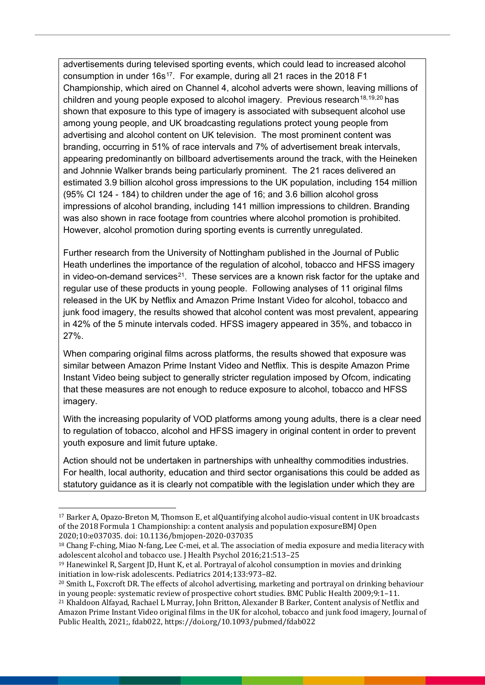advertisements during televised sporting events, which could lead to increased alcohol consumption in under 16s<sup>17</sup>. For example, during all 21 races in the 2018 F1 Championship, which aired on Channel 4, alcohol adverts were shown, leaving millions of children and young people exposed to alcohol imagery. Previous research<sup>[18,](#page-10-1)[19](#page-10-2),[20](#page-10-3)</sup> has shown that exposure to this type of imagery is associated with subsequent alcohol use among young people, and UK broadcasting regulations protect young people from advertising and alcohol content on UK television. The most prominent content was branding, occurring in 51% of race intervals and 7% of advertisement break intervals, appearing predominantly on billboard advertisements around the track, with the Heineken and Johnnie Walker brands being particularly prominent. The 21 races delivered an estimated 3.9 billion alcohol gross impressions to the UK population, including 154 million (95% CI 124 - 184) to children under the age of 16; and 3.6 billion alcohol gross impressions of alcohol branding, including 141 million impressions to children. Branding was also shown in race footage from countries where alcohol promotion is prohibited. However, alcohol promotion during sporting events is currently unregulated.

Further research from the University of Nottingham published in the Journal of Public Heath underlines the importance of the regulation of alcohol, tobacco and HFSS imagery in video-on-demand services<sup>21</sup>. These services are a known risk factor for the uptake and regular use of these products in young people. Following analyses of 11 original films released in the UK by Netflix and Amazon Prime Instant Video for alcohol, tobacco and junk food imagery, the results showed that alcohol content was most prevalent, appearing in 42% of the 5 minute intervals coded. HFSS imagery appeared in 35%, and tobacco in 27%.

When comparing original films across platforms, the results showed that exposure was similar between Amazon Prime Instant Video and Netflix. This is despite Amazon Prime Instant Video being subject to generally stricter regulation imposed by Ofcom, indicating that these measures are not enough to reduce exposure to alcohol, tobacco and HFSS imagery.

With the increasing popularity of VOD platforms among young adults, there is a clear need to regulation of tobacco, alcohol and HFSS imagery in original content in order to prevent youth exposure and limit future uptake.

Action should not be undertaken in partnerships with unhealthy commodities industries. For health, local authority, education and third sector organisations this could be added as statutory guidance as it is clearly not compatible with the legislation under which they are

<span id="page-10-0"></span><sup>-</sup> $17$  Barker A, Opazo-Breton M, Thomson E, et alQuantifying alcohol audio-visual content in UK broadcasts of the 2018 Formula 1 Championship: a content analysis and population exposureBMJ Open 2020;10:e037035. doi: 10.1136/bmjopen-2020-037035

<span id="page-10-1"></span><sup>18</sup> Chang F-ching, Miao N-fang, Lee C-mei, et al. The association of media exposure and media literacy with adolescent alcohol and tobacco use. J Health Psychol 2016;21:513–25

<span id="page-10-2"></span><sup>19</sup> Hanewinkel R, Sargent JD, Hunt K, et al. Portrayal of alcohol consumption in movies and drinking initiation in low-risk adolescents. Pediatrics 2014;133:973–82.

<span id="page-10-3"></span><sup>20</sup> Smith L, Foxcroft DR. The effects of alcohol advertising, marketing and portrayal on drinking behaviour in young people: systematic review of prospective cohort studies. BMC Public Health 2009;9:1–11.

<span id="page-10-4"></span><sup>21</sup> Khaldoon Alfayad, Rachael L Murray, John Britton, Alexander B Barker, Content analysis of Netflix and Amazon Prime Instant Video original films in the UK for alcohol, tobacco and junk food imagery, Journal of Public Health, 2021;, fdab022, https://doi.org/10.1093/pubmed/fdab022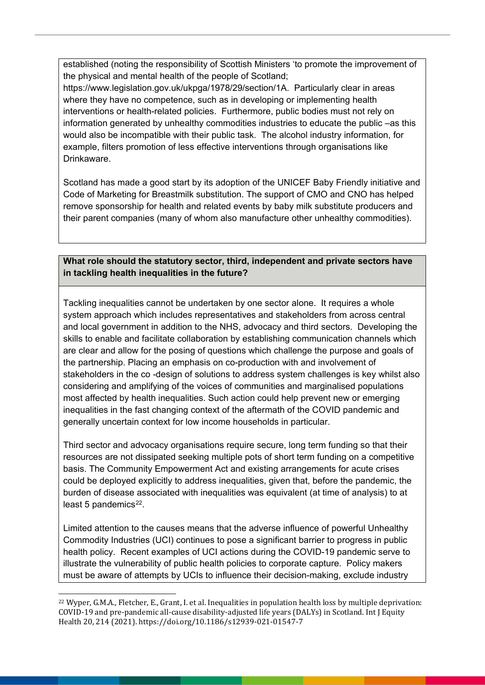established (noting the responsibility of Scottish Ministers 'to promote the improvement of the physical and mental health of the people of Scotland;

https://www.legislation.gov.uk/ukpga/1978/29/section/1A. Particularly clear in areas where they have no competence, such as in developing or implementing health interventions or health-related policies. Furthermore, public bodies must not rely on information generated by unhealthy commodities industries to educate the public –as this would also be incompatible with their public task. The alcohol industry information, for example, filters promotion of less effective interventions through organisations like Drinkaware.

Scotland has made a good start by its adoption of the UNICEF Baby Friendly initiative and Code of Marketing for Breastmilk substitution. The support of CMO and CNO has helped remove sponsorship for health and related events by baby milk substitute producers and their parent companies (many of whom also manufacture other unhealthy commodities).

# **What role should the statutory sector, third, independent and private sectors have in tackling health inequalities in the future?**

Tackling inequalities cannot be undertaken by one sector alone. It requires a whole system approach which includes representatives and stakeholders from across central and local government in addition to the NHS, advocacy and third sectors. Developing the skills to enable and facilitate collaboration by establishing communication channels which are clear and allow for the posing of questions which challenge the purpose and goals of the partnership. Placing an emphasis on co-production with and involvement of stakeholders in the co -design of solutions to address system challenges is key whilst also considering and amplifying of the voices of communities and marginalised populations most affected by health inequalities. Such action could help prevent new or emerging inequalities in the fast changing context of the aftermath of the COVID pandemic and generally uncertain context for low income households in particular.

Third sector and advocacy organisations require secure, long term funding so that their resources are not dissipated seeking multiple pots of short term funding on a competitive basis. The Community Empowerment Act and existing arrangements for acute crises could be deployed explicitly to address inequalities, given that, before the pandemic, the burden of disease associated with inequalities was equivalent (at time of analysis) to at least 5 pandemics $^{22}$ .

Limited attention to the causes means that the adverse influence of powerful Unhealthy Commodity Industries (UCI) continues to pose a significant barrier to progress in public health policy. Recent examples of UCI actions during the COVID-19 pandemic serve to illustrate the vulnerability of public health policies to corporate capture. Policy makers must be aware of attempts by UCIs to influence their decision-making, exclude industry

<span id="page-11-0"></span>j <sup>22</sup> Wyper, G.M.A., Fletcher, E., Grant, I. et al. Inequalities in population health loss by multiple deprivation: COVID-19 and pre-pandemic all-cause disability-adjusted life years (DALYs) in Scotland. Int J Equity Health 20, 214 (2021). https://doi.org/10.1186/s12939-021-01547-7